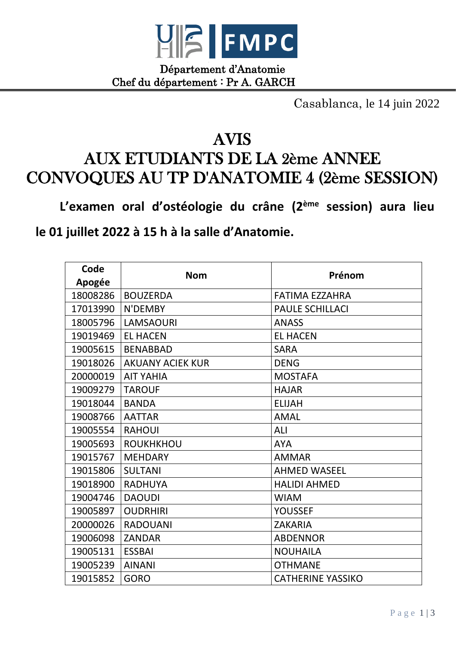

Département d'Anatomie Chef du département : Pr A. GARCH

Casablanca, le 14 juin 2022

## AVIS

## AUX ETUDIANTS DE LA 2ème ANNEE CONVOQUES AU TP D'ANATOMIE 4 (2ème SESSION)

**L'examen oral d'ostéologie du crâne (2ème session) aura lieu le 01 juillet 2022 à 15 h à la salle d'Anatomie.**

| Code     |                         | Prénom                   |
|----------|-------------------------|--------------------------|
| Apogée   | <b>Nom</b>              |                          |
| 18008286 | <b>BOUZERDA</b>         | <b>FATIMA EZZAHRA</b>    |
| 17013990 | N'DEMBY                 | <b>PAULE SCHILLACI</b>   |
| 18005796 | <b>LAMSAOURI</b>        | <b>ANASS</b>             |
| 19019469 | <b>EL HACEN</b>         | <b>EL HACEN</b>          |
| 19005615 | <b>BENABBAD</b>         | <b>SARA</b>              |
| 19018026 | <b>AKUANY ACIEK KUR</b> | <b>DENG</b>              |
| 20000019 | <b>AIT YAHIA</b>        | <b>MOSTAFA</b>           |
| 19009279 | <b>TAROUF</b>           | <b>HAJAR</b>             |
| 19018044 | <b>BANDA</b>            | <b>ELIJAH</b>            |
| 19008766 | <b>AATTAR</b>           | <b>AMAL</b>              |
| 19005554 | <b>RAHOUI</b>           | ALI                      |
| 19005693 | <b>ROUKHKHOU</b>        | <b>AYA</b>               |
| 19015767 | <b>MEHDARY</b>          | <b>AMMAR</b>             |
| 19015806 | <b>SULTANI</b>          | <b>AHMED WASEEL</b>      |
| 19018900 | <b>RADHUYA</b>          | <b>HALIDI AHMED</b>      |
| 19004746 | <b>DAOUDI</b>           | <b>WIAM</b>              |
| 19005897 | <b>OUDRHIRI</b>         | <b>YOUSSEF</b>           |
| 20000026 | <b>RADOUANI</b>         | <b>ZAKARIA</b>           |
| 19006098 | <b>ZANDAR</b>           | <b>ABDENNOR</b>          |
| 19005131 | <b>ESSBAI</b>           | <b>NOUHAILA</b>          |
| 19005239 | <b>AINANI</b>           | <b>OTHMANE</b>           |
| 19015852 | <b>GORO</b>             | <b>CATHERINE YASSIKO</b> |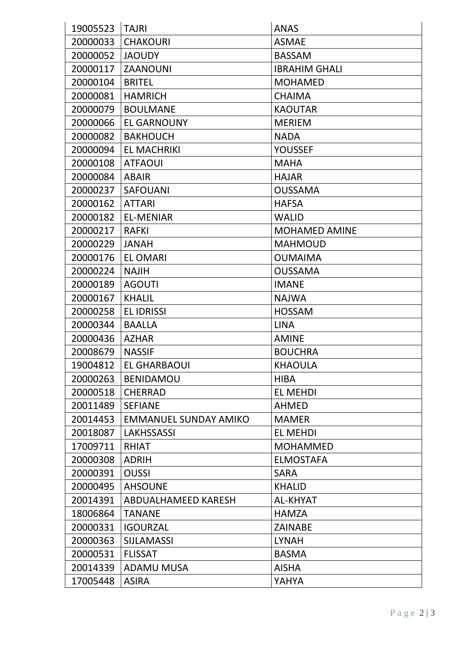| 19005523 | <b>TAJRI</b>                 | <b>ANAS</b>          |
|----------|------------------------------|----------------------|
| 20000033 | <b>CHAKOURI</b>              | <b>ASMAE</b>         |
| 20000052 | <b>JAOUDY</b>                | <b>BASSAM</b>        |
| 20000117 | <b>ZAANOUNI</b>              | <b>IBRAHIM GHALI</b> |
| 20000104 | <b>BRITEL</b>                | <b>MOHAMED</b>       |
| 20000081 | <b>HAMRICH</b>               | <b>CHAIMA</b>        |
| 20000079 | <b>BOULMANE</b>              | <b>KAOUTAR</b>       |
| 20000066 | <b>EL GARNOUNY</b>           | <b>MERIEM</b>        |
| 20000082 | <b>BAKHOUCH</b>              | <b>NADA</b>          |
| 20000094 | <b>EL MACHRIKI</b>           | <b>YOUSSEF</b>       |
| 20000108 | <b>ATFAOUI</b>               | <b>MAHA</b>          |
| 20000084 | <b>ABAIR</b>                 | <b>HAJAR</b>         |
| 20000237 | <b>SAFOUANI</b>              | <b>OUSSAMA</b>       |
| 20000162 | <b>ATTARI</b>                | <b>HAFSA</b>         |
| 20000182 | <b>EL-MENIAR</b>             | <b>WALID</b>         |
| 20000217 | <b>RAFKI</b>                 | <b>MOHAMED AMINE</b> |
| 20000229 | <b>JANAH</b>                 | <b>MAHMOUD</b>       |
| 20000176 | <b>EL OMARI</b>              | <b>OUMAIMA</b>       |
| 20000224 | <b>NAJIH</b>                 | <b>OUSSAMA</b>       |
| 20000189 | <b>AGOUTI</b>                | <b>IMANE</b>         |
| 20000167 | <b>KHALIL</b>                | <b>NAJWA</b>         |
| 20000258 | <b>EL IDRISSI</b>            | <b>HOSSAM</b>        |
| 20000344 | <b>BAALLA</b>                | <b>LINA</b>          |
| 20000436 | <b>AZHAR</b>                 | <b>AMINE</b>         |
| 20008679 | <b>NASSIF</b>                | <b>BOUCHRA</b>       |
| 19004812 | EL GHARBAOUI                 | <b>KHAOULA</b>       |
| 20000263 | <b>BENIDAMOU</b>             | <b>HIBA</b>          |
| 20000518 | <b>CHERRAD</b>               | <b>EL MEHDI</b>      |
| 20011489 | <b>SEFIANE</b>               | <b>AHMED</b>         |
| 20014453 | <b>EMMANUEL SUNDAY AMIKO</b> | <b>MAMER</b>         |
| 20018087 | <b>LAKHSSASSI</b>            | <b>EL MEHDI</b>      |
| 17009711 | <b>RHIAT</b>                 | <b>MOHAMMED</b>      |
| 20000308 | <b>ADRIH</b>                 | <b>ELMOSTAFA</b>     |
| 20000391 | <b>OUSSI</b>                 | <b>SARA</b>          |
| 20000495 | <b>AHSOUNE</b>               | <b>KHALID</b>        |
| 20014391 | ABDUALHAMEED KARESH          | AL-KHYAT             |
| 18006864 | <b>TANANE</b>                | <b>HAMZA</b>         |
| 20000331 | <b>IGOURZAL</b>              | <b>ZAINABE</b>       |
| 20000363 | <b>SIJLAMASSI</b>            | <b>LYNAH</b>         |
| 20000531 | <b>FLISSAT</b>               | <b>BASMA</b>         |
| 20014339 | <b>ADAMU MUSA</b>            | <b>AISHA</b>         |
| 17005448 | <b>ASIRA</b>                 | YAHYA                |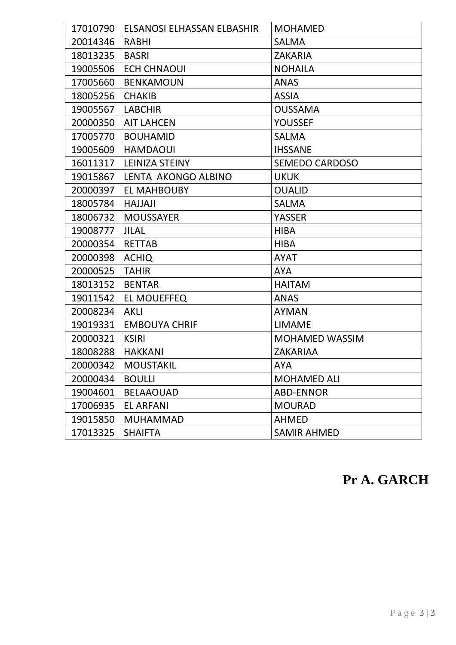| 17010790 | ELSANOSI ELHASSAN ELBASHIR | <b>MOHAMED</b>        |
|----------|----------------------------|-----------------------|
| 20014346 | <b>RABHI</b>               | <b>SALMA</b>          |
| 18013235 | <b>BASRI</b>               | <b>ZAKARIA</b>        |
| 19005506 | <b>ECH CHNAOUI</b>         | <b>NOHAILA</b>        |
| 17005660 | <b>BENKAMOUN</b>           | <b>ANAS</b>           |
| 18005256 | <b>CHAKIB</b>              | <b>ASSIA</b>          |
| 19005567 | <b>LABCHIR</b>             | <b>OUSSAMA</b>        |
| 20000350 | <b>AIT LAHCEN</b>          | <b>YOUSSEF</b>        |
| 17005770 | <b>BOUHAMID</b>            | <b>SALMA</b>          |
| 19005609 | <b>HAMDAOUI</b>            | <b>IHSSANE</b>        |
| 16011317 | LEINIZA STEINY             | <b>SEMEDO CARDOSO</b> |
| 19015867 | LENTA AKONGO ALBINO        | <b>UKUK</b>           |
| 20000397 | <b>EL MAHBOUBY</b>         | <b>OUALID</b>         |
| 18005784 | <b>HAJJAJI</b>             | <b>SALMA</b>          |
| 18006732 | <b>MOUSSAYER</b>           | <b>YASSER</b>         |
| 19008777 | <b>JILAL</b>               | <b>HIBA</b>           |
| 20000354 | <b>RETTAB</b>              | <b>HIBA</b>           |
| 20000398 | <b>ACHIQ</b>               | <b>AYAT</b>           |
| 20000525 | <b>TAHIR</b>               | <b>AYA</b>            |
| 18013152 | <b>BENTAR</b>              | <b>HAITAM</b>         |
| 19011542 | <b>EL MOUEFFEQ</b>         | <b>ANAS</b>           |
| 20008234 | <b>AKLI</b>                | <b>AYMAN</b>          |
| 19019331 | <b>EMBOUYA CHRIF</b>       | <b>LIMAME</b>         |
| 20000321 | <b>KSIRI</b>               | <b>MOHAMED WASSIM</b> |
| 18008288 | <b>HAKKANI</b>             | <b>ZAKARIAA</b>       |
| 20000342 | <b>MOUSTAKIL</b>           | <b>AYA</b>            |
| 20000434 | <b>BOULLI</b>              | <b>MOHAMED ALI</b>    |
| 19004601 | <b>BELAAOUAD</b>           | <b>ABD-ENNOR</b>      |
| 17006935 | <b>EL ARFANI</b>           | <b>MOURAD</b>         |
| 19015850 | <b>MUHAMMAD</b>            | <b>AHMED</b>          |
| 17013325 | <b>SHAIFTA</b>             | <b>SAMIR AHMED</b>    |

## **Pr A. GARCH**